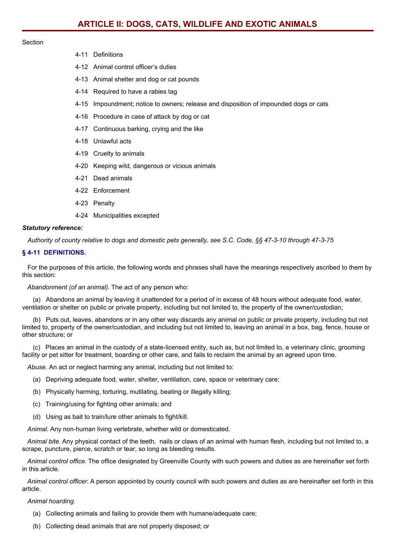#### Section

- 4-11 Definitions
- 4-12 Animal control officer's duties
- 4-13 Animal shelter and dog or cat pounds
- 4-14 Required to have a rabies tag
- 4-15 Impoundment; notice to owners; release and disposition of impounded dogs or cats
- 4-16 Procedure in case of attack by dog or cat
- 4-17 Continuous barking, crying and the like
- 4-18 Unlawful acts
- 4-19 Cruelty to animals
- 4-20 Keeping wild, dangerous or vicious animals
- 4-21 Dead animals
- 4-22 Enforcement
- 4-23 Penalty
- 4-24 Municipalities excepted

#### *Statutory reference:*

Authority of county relative to dogs and domestic pets generally, see S.C. Code, §§ 47-3-10 through 47-3-75

### **§ 4-11 DEFINITIONS.**

For the purposes of this article, the following words and phrases shall have the meanings respectively ascribed to them by this section:

*Abandonment (of an animal).* The act of any person who:

(a) Abandons an animal by leaving it unattended for a period of in excess of 48 hours without adequate food, water, ventilation or shelter on public or private property, including but not limited to, the property of the owner/custodian;

(b) Puts out, leaves, abandons or in any other way discards any animal on public or private property, including but not limited to, property of the owner/custodian, and including but not limited to, leaving an animal in a box, bag, fence, house or other structure; or

(c) Places an animal in the custody of a state-licensed entity, such as, but not limited to, a veterinary clinic, grooming facility or pet sitter for treatment, boarding or other care, and fails to reclaim the animal by an agreed upon time.

*Abuse.* An act or neglect harming any animal, including but not limited to:

- (a) Depriving adequate food, water, shelter, ventilation, care, space or veterinary care;
- (b) Physically harming, torturing, mutilating, beating or illegally killing;
- (c) Training/using for fighting other animals; and
- (d) Using as bait to train/lure other animals to fight/kill.

*Animal.* Any non-human living vertebrate, whether wild or domesticated.

*Animal bite.* Any physical contact of the teeth, nails or claws of an animal with human flesh, including but not limited to, a scrape, puncture, pierce, scratch or tear, so long as bleeding results.

*Animal control office.* The office designated by Greenville County with such powers and duties as are hereinafter set forth in this article.

*Animal control officer.* A person appointed by county council with such powers and duties as are hereinafter set forth in this article.

*Animal hoarding.*

- (a) Collecting animals and failing to provide them with humane/adequate care;
- (b) Collecting dead animals that are not properly disposed; or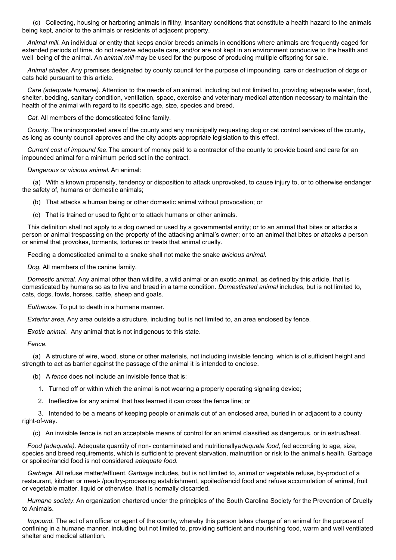(c) Collecting, housing or harboring animals in filthy, insanitary conditions that constitute a health hazard to the animals being kept, and/or to the animals or residents of adjacent property.

*Animal mill.* An individual or entity that keeps and/or breeds animals in conditions where animals are frequently caged for extended periods of time, do not receive adequate care, and/or are not kept in an environment conducive to the health and well being of the animal. An *animal mill* may be used for the purpose of producing multiple offspring for sale.

*Animal shelter.* Any premises designated by county council for the purpose of impounding, care or destruction of dogs or cats held pursuant to this article.

*Care (adequate humane).* Attention to the needs of an animal, including but not limited to, providing adequate water, food, shelter, bedding, sanitary condition, ventilation, space, exercise and veterinary medical attention necessary to maintain the health of the animal with regard to its specific age, size, species and breed.

*Cat.* All members of the domesticated feline family.

*County.* The unincorporated area of the county and any municipally requesting dog or cat control services of the county, as long as county council approves and the city adopts appropriate legislation to this effect.

*Current cost of impound fee.*The amount of money paid to a contractor of the county to provide board and care for an impounded animal for a minimum period set in the contract.

*Dangerous or vicious animal.* An animal:

(a) With a known propensity, tendency or disposition to attack unprovoked, to cause injury to, or to otherwise endanger the safety of, humans or domestic animals;

(b) That attacks a human being or other domestic animal without provocation; or

(c) That is trained or used to fight or to attack humans or other animals.

This definition shall not apply to a dog owned or used by a governmental entity; or to an animal that bites or attacks a person or animal trespassing on the property of the attacking animal's owner; or to an animal that bites or attacks a person or animal that provokes, torments, tortures or treats that animal cruelly.

Feeding a domesticated animal to a snake shall not make the snake a*vicious animal*.

*Dog.* All members of the canine family.

*Domestic animal.* Any animal other than wildlife, a wild animal or an exotic animal, as defined by this article, that is domesticated by humans so as to live and breed in a tame condition. *Domesticated animal* includes, but is not limited to, cats, dogs, fowls, horses, cattle, sheep and goats.

*Euthanize.* To put to death in a humane manner.

*Exterior area.* Any area outside a structure, including but is not limited to, an area enclosed by fence.

*Exotic animal.* Any animal that is not indigenous to this state.

*Fence.*

(a) A structure of wire, wood, stone or other materials, not including invisible fencing, which is of sufficient height and strength to act as barrier against the passage of the animal it is intended to enclose.

(b) A *fence* does not include an invisible fence that is:

1. Turned off or within which the animal is not wearing a properly operating signaling device;

2. Ineffective for any animal that has learned it can cross the fence line; or

3. Intended to be a means of keeping people or animals out of an enclosed area, buried in or adjacent to a county right-of-way.

(c) An invisible fence is not an acceptable means of control for an animal classified as dangerous, or in estrus/heat.

*Food (adequate).* Adequate quantity of non- contaminated and nutritionally*adequate food*, fed according to age, size, species and breed requirements, which is sufficient to prevent starvation, malnutrition or risk to the animal's health. Garbage or spoiled/rancid food is not considered *adequate food*.

*Garbage.* All refuse matter/effluent. *Garbage* includes, but is not limited to, animal or vegetable refuse, by-product of a restaurant, kitchen or meat- /poultry-processing establishment, spoiled/rancid food and refuse accumulation of animal, fruit or vegetable matter, liquid or otherwise, that is normally discarded.

*Humane society.* An organization chartered under the principles of the South Carolina Society for the Prevention of Cruelty to Animals.

*Impound.* The act of an officer or agent of the county, whereby this person takes charge of an animal for the purpose of confining in a humane manner, including but not limited to, providing sufficient and nourishing food, warm and well ventilated shelter and medical attention.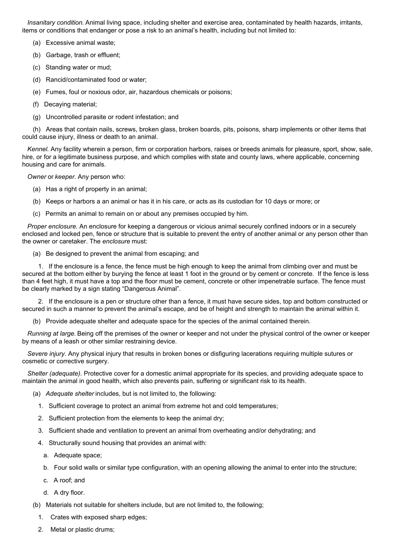*Insanitary condition.* Animal living space, including shelter and exercise area, contaminated by health hazards, irritants, items or conditions that endanger or pose a risk to an animal's health, including but not limited to:

- (a) Excessive animal waste;
- (b) Garbage, trash or effluent;
- (c) Standing water or mud;
- (d) Rancid/contaminated food or water;
- (e) Fumes, foul or noxious odor, air, hazardous chemicals or poisons;
- (f) Decaying material;
- (g) Uncontrolled parasite or rodent infestation; and

(h) Areas that contain nails, screws, broken glass, broken boards, pits, poisons, sharp implements or other items that could cause injury, illness or death to an animal.

*Kennel.* Any facility wherein a person, firm or corporation harbors, raises or breeds animals for pleasure, sport, show, sale, hire, or for a legitimate business purpose, and which complies with state and county laws, where applicable, concerning housing and care for animals.

*Owner* or *keeper.* Any person who:

- (a) Has a right of property in an animal;
- (b) Keeps or harbors a an animal or has it in his care, or acts as its custodian for 10 days or more; or
- (c) Permits an animal to remain on or about any premises occupied by him.

*Proper enclosure.* An enclosure for keeping a dangerous or vicious animal securely confined indoors or in a securely enclosed and locked pen, fence or structure that is suitable to prevent the entry of another animal or any person other than the owner or caretaker. The *enclosure* must:

(a) Be designed to prevent the animal from escaping; and

1. If the enclosure is a fence, the fence must be high enough to keep the animal from climbing over and must be secured at the bottom either by burying the fence at least 1 foot in the ground or by cement or concrete. If the fence is less than 4 feet high, it must have a top and the floor must be cement, concrete or other impenetrable surface. The fence must be clearly marked by a sign stating "Dangerous Animal".

2. If the enclosure is a pen or structure other than a fence, it must have secure sides, top and bottom constructed or secured in such a manner to prevent the animal's escape, and be of height and strength to maintain the animal within it.

(b) Provide adequate shelter and adequate space for the species of the animal contained therein.

*Running at large.* Being off the premises of the owner or keeper and not under the physical control of the owner or keeper by means of a leash or other similar restraining device.

*Severe injury.* Any physical injury that results in broken bones or disfiguring lacerations requiring multiple sutures or cosmetic or corrective surgery.

*Shelter (adequate).* Protective cover for a domestic animal appropriate for its species, and providing adequate space to maintain the animal in good health, which also prevents pain, suffering or significant risk to its health.

- (a) *Adequate shelter* includes, but is not limited to, the following:
	- 1. Sufficient coverage to protect an animal from extreme hot and cold temperatures;
	- 2. Sufficient protection from the elements to keep the animal dry;
	- 3. Sufficient shade and ventilation to prevent an animal from overheating and/or dehydrating; and
	- 4. Structurally sound housing that provides an animal with:
		- a. Adequate space;
		- b. Four solid walls or similar type configuration, with an opening allowing the animal to enter into the structure;
		- c. A roof; and
		- d. A dry floor.
- (b) Materials not suitable for shelters include, but are not limited to, the following;
	- 1. Crates with exposed sharp edges;
	- 2. Metal or plastic drums;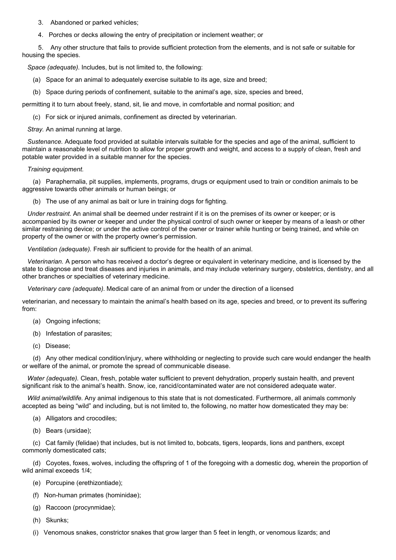- 3. Abandoned or parked vehicles;
- 4. Porches or decks allowing the entry of precipitation or inclement weather; or

5. Any other structure that fails to provide sufficient protection from the elements, and is not safe or suitable for housing the species.

*Space (adequate).* Includes, but is not limited to, the following:

- (a) Space for an animal to adequately exercise suitable to its age, size and breed;
- (b) Space during periods of confinement, suitable to the animal's age, size, species and breed,

permitting it to turn about freely, stand, sit, lie and move, in comfortable and normal position; and

(c) For sick or injured animals, confinement as directed by veterinarian.

*Stray.* An animal running at large.

*Sustenance.* Adequate food provided at suitable intervals suitable for the species and age of the animal, sufficient to maintain a reasonable level of nutrition to allow for proper growth and weight, and access to a supply of clean, fresh and potable water provided in a suitable manner for the species.

#### *Training equipment.*

(a) Paraphernalia, pit supplies, implements, programs, drugs or equipment used to train or condition animals to be aggressive towards other animals or human beings; or

(b) The use of any animal as bait or lure in training dogs for fighting.

*Under restraint.* An animal shall be deemed under restraint if it is on the premises of its owner or keeper; or is accompanied by its owner or keeper and under the physical control of such owner or keeper by means of a leash or other similar restraining device; or under the active control of the owner or trainer while hunting or being trained, and while on property of the owner or with the property owner's permission.

*Ventilation (adequate).* Fresh air sufficient to provide for the health of an animal.

*Veterinarian.* A person who has received a doctor's degree or equivalent in veterinary medicine, and is licensed by the state to diagnose and treat diseases and injuries in animals, and may include veterinary surgery, obstetrics, dentistry, and all other branches or specialties of veterinary medicine.

*Veterinary care (adequate).* Medical care of an animal from or under the direction of a licensed

veterinarian, and necessary to maintain the animal's health based on its age, species and breed, or to prevent its suffering from:

- (a) Ongoing infections;
- (b) Infestation of parasites;
- (c) Disease;

(d) Any other medical condition/injury, where withholding or neglecting to provide such care would endanger the health or welfare of the animal, or promote the spread of communicable disease.

*Water (adequate).* Clean, fresh, potable water sufficient to prevent dehydration, properly sustain health, and prevent significant risk to the animal's health. Snow, ice, rancid/contaminated water are not considered adequate water.

*Wild animal/wildlife.* Any animal indigenous to this state that is not domesticated. Furthermore, all animals commonly accepted as being "wild" and including, but is not limited to, the following, no matter how domesticated they may be:

- (a) Alligators and crocodiles;
- (b) Bears (ursidae);

(c) Cat family (felidae) that includes, but is not limited to, bobcats, tigers, leopards, lions and panthers, except commonly domesticated cats;

(d) Coyotes, foxes, wolves, including the offspring of 1 of the foregoing with a domestic dog, wherein the proportion of wild animal exceeds 1/4;

- (e) Porcupine (erethizontiade);
- (f) Non-human primates (hominidae);
- (g) Raccoon (procynmidae);
- (h) Skunks;
- (i) Venomous snakes, constrictor snakes that grow larger than 5 feet in length, or venomous lizards; and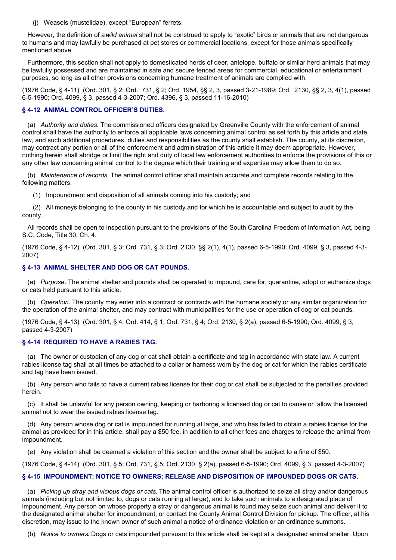(j) Weasels (mustelidae), except "European" ferrets.

However, the definition of a*wild animal* shall not be construed to apply to "exotic" birds or animals that are not dangerous to humans and may lawfully be purchased at pet stores or commercial locations, except for those animals specifically mentioned above.

Furthermore, this section shall not apply to domesticated herds of deer, antelope, buffalo or similar herd animals that may be lawfully possessed and are maintained in safe and secure fenced areas for commercial, educational or entertainment purposes, so long as all other provisions concerning humane treatment of animals are complied with.

(1976 Code, § 4-11) (Ord. 301, § 2; Ord. 731, § 2; Ord. 1954, §§ 2, 3, passed 3-21-1989; Ord. 2130, §§ 2, 3, 4(1), passed 6-5-1990; Ord. 4099, § 3, passed 4-3-2007; Ord. 4396, § 3, passed 11-16-2010)

## **§ 4-12 ANIMAL CONTROL OFFICER'S DUTIES.**

(a) *Authority and duties*. The commissioned officers designated by Greenville County with the enforcement of animal control shall have the authority to enforce all applicable laws concerning animal control as set forth by this article and state law, and such additional procedures, duties and responsibilities as the county shall establish. The county, at its discretion, may contract any portion or all of the enforcement and administration of this article it may deem appropriate. However, nothing herein shall abridge or limit the right and duty of local law enforcement authorities to enforce the provisions of this or any other law concerning animal control to the degree which their training and expertise may allow them to do so.

(b) *Maintenance of records.* The animal control officer shall maintain accurate and complete records relating to the following matters:

(1) Impoundment and disposition of all animals coming into his custody; and

(2) All moneys belonging to the county in his custody and for which he is accountable and subject to audit by the county.

All records shall be open to inspection pursuant to the provisions of the South Carolina Freedom of Information Act, being S.C. Code, Title 30, Ch. 4.

(1976 Code, § 4-12) (Ord. 301, § 3; Ord. 731, § 3; Ord. 2130, §§ 2(1), 4(1), passed 6-5-1990; Ord. 4099, § 3, passed 4-3- 2007)

## **§ 4-13 ANIMAL SHELTER AND DOG OR CAT POUNDS.**

(a) *Purpose*. The animal shelter and pounds shall be operated to impound, care for, quarantine, adopt or euthanize dogs or cats held pursuant to this article.

(b) *Operation*. The county may enter into a contract or contracts with the humane society or any similar organization for the operation of the animal shelter, and may contract with municipalities for the use or operation of dog or cat pounds.

(1976 Code, § 4-13) (Ord. 301, § 4; Ord. 414, § 1; Ord. 731, § 4; Ord. 2130, § 2(a), passed 6-5-1990; Ord. 4099, § 3, passed 4-3-2007)

## **§ 4-14 REQUIRED TO HAVE A RABIES TAG.**

(a) The owner or custodian of any dog or cat shall obtain a certificate and tag in accordance with state law. A current rabies license tag shall at all times be attached to a collar or harness worn by the dog or cat for which the rabies certificate and tag have been issued.

(b) Any person who fails to have a current rabies license for their dog or cat shall be subjected to the penalties provided herein.

(c) It shall be unlawful for any person owning, keeping or harboring a licensed dog or cat to cause or allow the licensed animal not to wear the issued rabies license tag.

(d) Any person whose dog or cat is impounded for running at large, and who has failed to obtain a rabies license for the animal as provided for in this article, shall pay a \$50 fee, in addition to all other fees and charges to release the animal from impoundment.

(e) Any violation shall be deemed a violation of this section and the owner shall be subject to a fine of \$50.

(1976 Code, § 4-14) (Ord. 301, § 5; Ord. 731, § 5; Ord. 2130, § 2(a), passed 6-5-1990; Ord. 4099, § 3, passed 4-3-2007)

# **§ 4-15 IMPOUNDMENT; NOTICE TO OWNERS; RELEASE AND DISPOSITION OF IMPOUNDED DOGS OR CATS.**

(a) *Picking up stray and vicious dogs or cats.* The animal control officer is authorized to seize all stray and/or dangerous animals (including but not limited to, dogs or cats running at large), and to take such animals to a designated place of impoundment. Any person on whose property a stray or dangerous animal is found may seize such animal and deliver it to the designated animal shelter for impoundment, or contact the County Animal Control Division for pickup. The officer, at his discretion, may issue to the known owner of such animal a notice of ordinance violation or an ordinance summons.

(b) *Notice to owners*. Dogs or cats impounded pursuant to this article shall be kept at a designated animal shelter. Upon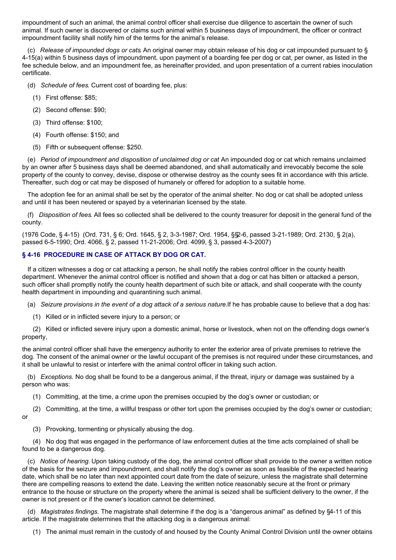impoundment of such an animal, the animal control officer shall exercise due diligence to ascertain the owner of such animal. If such owner is discovered or claims such animal within 5 business days of impoundment, the officer or contract impoundment facility shall notify him of the terms for the animal's release.

(c) *Release of impounded dogs or cats*. An original owner may obtain release of his dog or cat impounded pursuant to § 4-15(a) within 5 business days of impoundment, upon payment of a boarding fee per dog or cat, per owner, as listed in the fee schedule below, and an impoundment fee, as hereinafter provided, and upon presentation of a current rabies inoculation certificate.

- (d) *Schedule of fees*. Current cost of boarding fee, plus:
	- (1) First offense: \$85;
	- (2) Second offense: \$90;
	- (3) Third offense: \$100;
	- (4) Fourth offense: \$150; and
	- (5) Fifth or subsequent offense: \$250.

(e) *Period of impoundment and disposition of unclaimed dog or cat*. An impounded dog or cat which remains unclaimed by an owner after 5 business days shall be deemed abandoned, and shall automatically and irrevocably become the sole property of the county to convey, devise, dispose or otherwise destroy as the county sees fit in accordance with this article. Thereafter, such dog or cat may be disposed of humanely or offered for adoption to a suitable home.

The adoption fee for an animal shall be set by the operator of the animal shelter. No dog or cat shall be adopted unless and until it has been neutered or spayed by a veterinarian licensed by the state.

(f) *Disposition of fees*. All fees so collected shall be delivered to the county treasurer for deposit in the general fund of the county.

(1976 Code, § 4-15) (Ord. 731, § 6; Ord. 1645, § 2, 3-3-1987; Ord. 1954, §§2-6, passed 3-21-1989; Ord. 2130, § 2(a), passed 6-5-1990; Ord. 4066, § 2, passed 11-21-2006; Ord. 4099, § 3, passed 4-3-2007)

# **§ 4-16 PROCEDURE IN CASE OF ATTACK BY DOG OR CAT.**

If a citizen witnesses a dog or cat attacking a person, he shall notify the rabies control officer in the county health department. Whenever the animal control officer is notified and shown that a dog or cat has bitten or attacked a person, such officer shall promptly notify the county health department of such bite or attack, and shall cooperate with the county health department in impounding and quarantining such animal.

(a) *Seizure provisions in the event of a dog attack of a serious nature.*If he has probable cause to believe that a dog has:

(1) Killed or in inflicted severe injury to a person; or

(2) Killed or inflicted severe injury upon a domestic animal, horse or livestock, when not on the offending dogs owner's property,

the animal control officer shall have the emergency authority to enter the exterior area of private premises to retrieve the dog. The consent of the animal owner or the lawful occupant of the premises is not required under these circumstances, and it shall be unlawful to resist or interfere with the animal control officer in taking such action.

(b) *Exceptions.* No dog shall be found to be a dangerous animal, if the threat, injury or damage was sustained by a person who was:

(1) Committing, at the time, a crime upon the premises occupied by the dog's owner or custodian; or

(2) Committing, at the time, a willful trespass or other tort upon the premises occupied by the dog's owner or custodian;

or

(3) Provoking, tormenting or physically abusing the dog.

(4) No dog that was engaged in the performance of law enforcement duties at the time acts complained of shall be found to be a dangerous dog.

(c) *Notice of hearing.* Upon taking custody of the dog, the animal control officer shall provide to the owner a written notice of the basis for the seizure and impoundment, and shall notify the dog's owner as soon as feasible of the expected hearing date, which shall be no later than next appointed court date from the date of seizure, unless the magistrate shall determine there are compelling reasons to extend the date. Leaving the written notice reasonably secure at the front or primary entrance to the house or structure on the property where the animal is seized shall be sufficient delivery to the owner, if the owner is not present or if the owner's location cannot be determined.

(d) *Magistrates findings.* The magistrate shall determine if the dog is a "dangerous animal" as defined by §4-11 of this article. If the magistrate determines that the attacking dog is a dangerous animal:

(1) The animal must remain in the custody of and housed by the County Animal Control Division until the owner obtains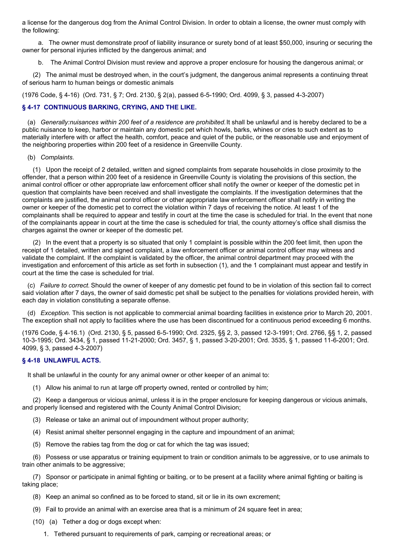a license for the dangerous dog from the Animal Control Division. In order to obtain a license, the owner must comply with the following:

a. The owner must demonstrate proof of liability insurance or surety bond of at least \$50,000, insuring or securing the owner for personal injuries inflicted by the dangerous animal; and

b. The Animal Control Division must review and approve a proper enclosure for housing the dangerous animal; or

(2) The animal must be destroyed when, in the court's judgment, the dangerous animal represents a continuing threat of serious harm to human beings or domestic animals

(1976 Code, § 4-16) (Ord. 731, § 7; Ord. 2130, § 2(a), passed 6-5-1990; Ord. 4099, § 3, passed 4-3-2007)

## **§ 4-17 CONTINUOUS BARKING, CRYING, AND THE LIKE.**

(a) *Generally:nuisances within 200 feet of a residence are prohibited.*It shall be unlawful and is hereby declared to be a public nuisance to keep, harbor or maintain any domestic pet which howls, barks, whines or cries to such extent as to materially interfere with or affect the health, comfort, peace and quiet of the public, or the reasonable use and enjoyment of the neighboring properties within 200 feet of a residence in Greenville County.

(b) *Complaints.*

(1) Upon the receipt of 2 detailed, written and signed complaints from separate households in close proximity to the offender, that a person within 200 feet of a residence in Greenville County is violating the provisions of this section, the animal control officer or other appropriate law enforcement officer shall notify the owner or keeper of the domestic pet in question that complaints have been received and shall investigate the complaints. If the investigation determines that the complaints are justified, the animal control officer or other appropriate law enforcement officer shall notify in writing the owner or keeper of the domestic pet to correct the violation within 7 days of receiving the notice. At least 1 of the complainants shall be required to appear and testify in court at the time the case is scheduled for trial. In the event that none of the complainants appear in court at the time the case is scheduled for trial, the county attorney's office shall dismiss the charges against the owner or keeper of the domestic pet.

(2) In the event that a property is so situated that only 1 complaint is possible within the 200 feet limit, then upon the receipt of 1 detailed, written and signed complaint, a law enforcement officer or animal control officer may witness and validate the complaint. If the complaint is validated by the officer, the animal control department may proceed with the investigation and enforcement of this article as set forth in subsection (1), and the 1 complainant must appear and testify in court at the time the case is scheduled for trial.

(c) *Failure to correct.* Should the owner of keeper of any domestic pet found to be in violation of this section fail to correct said violation after 7 days, the owner of said domestic pet shall be subject to the penalties for violations provided herein, with each day in violation constituting a separate offense.

(d) *Exception.* This section is not applicable to commercial animal boarding facilities in existence prior to March 20, 2001. The exception shall not apply to facilities where the use has been discontinued for a continuous period exceeding 6 months.

(1976 Code, § 4-16.1) (Ord. 2130, § 5, passed 6-5-1990; Ord. 2325, §§ 2, 3, passed 12-3-1991; Ord. 2766, §§ 1, 2, passed 10-3-1995; Ord. 3434, § 1, passed 11-21-2000; Ord. 3457, § 1, passed 3-20-2001; Ord. 3535, § 1, passed 11-6-2001; Ord. 4099, § 3, passed 4-3-2007)

## **§ 4-18 UNLAWFUL ACTS.**

It shall be unlawful in the county for any animal owner or other keeper of an animal to:

(1) Allow his animal to run at large off property owned, rented or controlled by him;

(2) Keep a dangerous or vicious animal, unless it is in the proper enclosure for keeping dangerous or vicious animals, and properly licensed and registered with the County Animal Control Division;

- (3) Release or take an animal out of impoundment without proper authority;
- (4) Resist animal shelter personnel engaging in the capture and impoundment of an animal;
- (5) Remove the rabies tag from the dog or cat for which the tag was issued;

(6) Possess or use apparatus or training equipment to train or condition animals to be aggressive, or to use animals to train other animals to be aggressive;

(7) Sponsor or participate in animal fighting or baiting, or to be present at a facility where animal fighting or baiting is taking place;

- (8) Keep an animal so confined as to be forced to stand, sit or lie in its own excrement;
- (9) Fail to provide an animal with an exercise area that is a minimum of 24 square feet in area;
- (10) (a) Tether a dog or dogs except when:
	- 1. Tethered pursuant to requirements of park, camping or recreational areas; or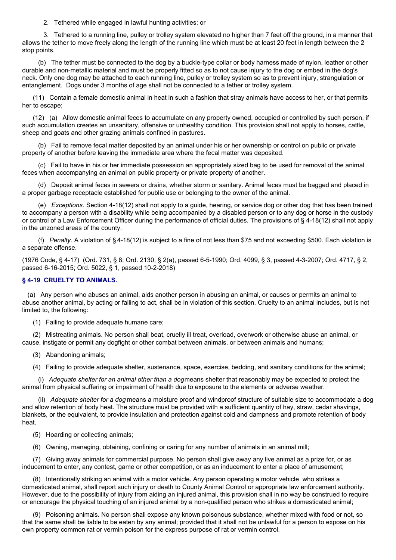2. Tethered while engaged in lawful hunting activities; or

3. Tethered to a running line, pulley or trolley system elevated no higher than 7 feet off the ground, in a manner that allows the tether to move freely along the length of the running line which must be at least 20 feet in length between the 2 stop points.

(b) The tether must be connected to the dog by a buckle-type collar or body harness made of nylon, leather or other durable and non-metallic material and must be properly fitted so as to not cause injury to the dog or embed in the dog's neck. Only one dog may be attached to each running line, pulley or trolley system so as to prevent injury, strangulation or entanglement. Dogs under 3 months of age shall not be connected to a tether or trolley system.

(11) Contain a female domestic animal in heat in such a fashion that stray animals have access to her, or that permits her to escape;

(12) (a) Allow domestic animal feces to accumulate on any property owned, occupied or controlled by such person, if such accumulation creates an unsanitary, offensive or unhealthy condition. This provision shall not apply to horses, cattle, sheep and goats and other grazing animals confined in pastures.

(b) Fail to remove fecal matter deposited by an animal under his or her ownership or control on public or private property of another before leaving the immediate area where the fecal matter was deposited.

(c) Fail to have in his or her immediate possession an appropriately sized bag to be used for removal of the animal feces when accompanying an animal on public property or private property of another.

(d) Deposit animal feces in sewers or drains, whether storm or sanitary. Animal feces must be bagged and placed in a proper garbage receptacle established for public use or belonging to the owner of the animal.

(e) *Exceptions.* Section 4-18(12) shall not apply to a guide, hearing, or service dog or other dog that has been trained to accompany a person with a disability while being accompanied by a disabled person or to any dog or horse in the custody or control of a Law Enforcement Officer during the performance of official duties. The provisions of § 4-18(12) shall not apply in the unzoned areas of the county.

(f) *Penalty.* A violation of § 4-18(12) is subject to a fine of not less than \$75 and not exceeding \$500. Each violation is a separate offense.

(1976 Code, § 4-17) (Ord. 731, § 8; Ord. 2130, § 2(a), passed 6-5-1990; Ord. 4099, § 3, passed 4-3-2007; Ord. 4717, § 2, passed 6-16-2015; Ord. 5022, § 1, passed 10-2-2018)

## **§ 4-19 CRUELTY TO ANIMALS.**

(a) Any person who abuses an animal, aids another person in abusing an animal, or causes or permits an animal to abuse another animal, by acting or failing to act, shall be in violation of this section. Cruelty to an animal includes, but is not limited to, the following:

(1) Failing to provide adequate humane care;

(2) Mistreating animals. No person shall beat, cruelly ill treat, overload, overwork or otherwise abuse an animal, or cause, instigate or permit any dogfight or other combat between animals, or between animals and humans;

(3) Abandoning animals;

(4) Failing to provide adequate shelter, sustenance, space, exercise, bedding, and sanitary conditions for the animal;

(i) *Adequate shelter for an animal other than a dog*means shelter that reasonably may be expected to protect the animal from physical suffering or impairment of health due to exposure to the elements or adverse weather.

(ii) *Adequate shelter for a dog* means a moisture proof and windproof structure of suitable size to accommodate a dog and allow retention of body heat. The structure must be provided with a sufficient quantity of hay, straw, cedar shavings, blankets, or the equivalent, to provide insulation and protection against cold and dampness and promote retention of body heat.

(5) Hoarding or collecting animals;

(6) Owning, managing, obtaining, confining or caring for any number of animals in an animal mill;

(7) Giving away animals for commercial purpose. No person shall give away any live animal as a prize for, or as inducement to enter, any contest, game or other competition, or as an inducement to enter a place of amusement;

(8) Intentionally striking an animal with a motor vehicle. Any person operating a motor vehicle who strikes a domesticated animal, shall report such injury or death to County Animal Control or appropriate law enforcement authority. However, due to the possibility of injury from aiding an injured animal, this provision shall in no way be construed to require or encourage the physical touching of an injured animal by a non-qualified person who strikes a domesticated animal;

(9) Poisoning animals. No person shall expose any known poisonous substance, whether mixed with food or not, so that the same shall be liable to be eaten by any animal; provided that it shall not be unlawful for a person to expose on his own property common rat or vermin poison for the express purpose of rat or vermin control.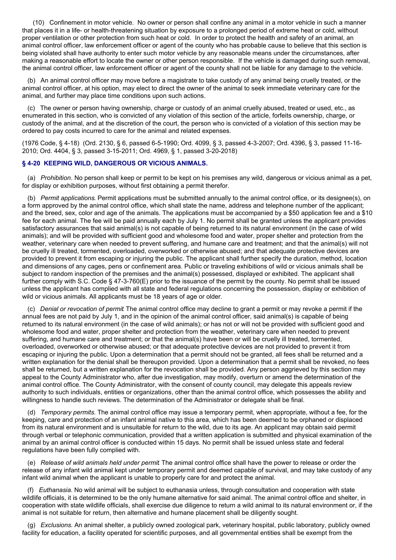(10) Confinement in motor vehicle. No owner or person shall confine any animal in a motor vehicle in such a manner that places it in a life- or health-threatening situation by exposure to a prolonged period of extreme heat or cold, without proper ventilation or other protection from such heat or cold. In order to protect the health and safety of an animal, an animal control officer, law enforcement officer or agent of the county who has probable cause to believe that this section is being violated shall have authority to enter such motor vehicle by any reasonable means under the circumstances, after making a reasonable effort to locate the owner or other person responsible. If the vehicle is damaged during such removal, the animal control officer, law enforcement officer or agent of the county shall not be liable for any damage to the vehicle.

(b) An animal control officer may move before a magistrate to take custody of any animal being cruelly treated, or the animal control officer, at his option, may elect to direct the owner of the animal to seek immediate veterinary care for the animal, and further may place time conditions upon such actions.

(c) The owner or person having ownership, charge or custody of an animal cruelly abused, treated or used, etc., as enumerated in this section, who is convicted of any violation of this section of the article, forfeits ownership, charge, or custody of the animal, and at the discretion of the court, the person who is convicted of a violation of this section may be ordered to pay costs incurred to care for the animal and related expenses.

(1976 Code, § 4-18) (Ord. 2130, § 6, passed 6-5-1990; Ord. 4099, § 3, passed 4-3-2007; Ord. 4396, § 3, passed 11-16- 2010; Ord. 4404, § 3, passed 3-15-2011; Ord. 4969, § 1, passed 3-20-2018)

# **§ 4-20 KEEPING WILD, DANGEROUS OR VICIOUS ANIMALS.**

(a) *Prohibition*. No person shall keep or permit to be kept on his premises any wild, dangerous or vicious animal as a pet, for display or exhibition purposes, without first obtaining a permit therefor.

(b) *Permit applications*. Permit applications must be submitted annually to the animal control office, or its designee(s), on a form approved by the animal control office, which shall state the name, address and telephone number of the applicant; and the breed, sex, color and age of the animals. The applications must be accompanied by a \$50 application fee and a \$10 fee for each animal. The fee will be paid annually each by July 1. No permit shall be granted unless the applicant provides satisfactory assurances that said animal(s) is not capable of being returned to its natural environment (in the case of wild animals); and will be provided with sufficient good and wholesome food and water, proper shelter and protection from the weather, veterinary care when needed to prevent suffering, and humane care and treatment; and that the animal(s) will not be cruelly ill treated, tormented, overloaded, overworked or otherwise abused; and that adequate protective devices are provided to prevent it from escaping or injuring the public. The applicant shall further specify the duration, method, location and dimensions of any cages, pens or confinement area. Public or traveling exhibitions of wild or vicious animals shall be subject to random inspection of the premises and the animal(s) possessed, displayed or exhibited. The applicant shall further comply with S.C. Code § 47-3-760(E) prior to the issuance of the permit by the county. No permit shall be issued unless the applicant has complied with all state and federal regulations concerning the possession, display or exhibition of wild or vicious animals. All applicants must be 18 years of age or older.

(c) *Denial or revocation of permit*. The animal control office may decline to grant a permit or may revoke a permit if the annual fees are not paid by July 1, and in the opinion of the animal control officer, said animal(s) is capable of being returned to its natural environment (in the case of wild animals); or has not or will not be provided with sufficient good and wholesome food and water, proper shelter and protection from the weather, veterinary care when needed to prevent suffering, and humane care and treatment; or that the animal(s) have been or will be cruelly ill treated, tormented, overloaded, overworked or otherwise abused; or that adequate protective devices are not provided to prevent it from escaping or injuring the public. Upon a determination that a permit should not be granted, all fees shall be returned and a written explanation for the denial shall be thereupon provided. Upon a determination that a permit shall be revoked, no fees shall be returned, but a written explanation for the revocation shall be provided. Any person aggrieved by this section may appeal to the County Administrator who, after due investigation, may modify, overturn or amend the determination of the animal control office. The County Administrator, with the consent of county council, may delegate this appeals review authority to such individuals, entities or organizations, other than the animal control office, which possesses the ability and willingness to handle such reviews. The determination of the Administrator or delegate shall be final.

(d) *Temporary permits.* The animal control office may issue a temporary permit, when appropriate, without a fee, for the keeping, care and protection of an infant animal native to this area, which has been deemed to be orphaned or displaced from its natural environment and is unsuitable for return to the wild, due to its age. An applicant may obtain said permit through verbal or telephonic communication, provided that a written application is submitted and physical examination of the animal by an animal control officer is conducted within 15 days. No permit shall be issued unless state and federal regulations have been fully complied with.

(e) *Release of wild animals held under permit*. The animal control office shall have the power to release or order the release of any infant wild animal kept under temporary permit and deemed capable of survival, and may take custody of any infant wild animal when the applicant is unable to properly care for and protect the animal.

(f) *Euthanasia.* No wild animal will be subject to euthanasia unless, through consultation and cooperation with state wildlife officials, it is determined to be the only humane alternative for said animal. The animal control office and shelter, in cooperation with state wildlife officials, shall exercise due diligence to return a wild animal to its natural environment or, if the animal is not suitable for return, then alternative and humane placement shall be diligently sought.

(g) *Exclusions*. An animal shelter, a publicly owned zoological park, veterinary hospital, public laboratory, publicly owned facility for education, a facility operated for scientific purposes, and all governmental entities shall be exempt from the